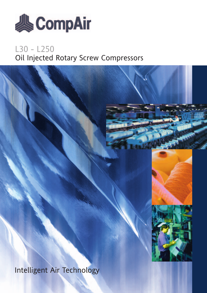

## L30 - L250 Oil Injected Rotary Screw Compressors





Intelligent Air Technology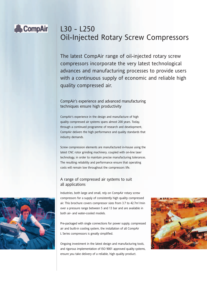## **&CompAir**

## L30 - L250 Oil-Injected Rotary Screw Compressors

The latest CompAir range of oil-injected rotary screw compressors incorporate the very latest technological advances and manufacturing processes to provide users with a continuous supply of economic and reliable high quality compressed air.

#### CompAir's experience and advanced manufacturing techniques ensure high productivity

CompAir's experience in the design and manufacture of high quality compressed air systems spans almost 200 years. Today, through a continued programme of research and development, CompAir delivers the high performance and quality standards that industry demands.

Screw compression elements are manufactured in-house using the latest CNC rotor grinding machinery, coupled with on-line laser technology, in order to maintain precise manufacturing tolerances. The resulting reliability and performance ensure that operating costs will remain low throughout the compressors life.

#### A range of compressed air systems to suit all applications

Industries, both large and small, rely on CompAir rotary screw compressors for a supply of consistently high quality compressed air. This brochure covers compressor sizes from 3.7 to 42.7m<sup>3</sup>/min over a pressure range between 5 and 13 bar and are available in both air- and water-cooled models.

Pre-packaged with single connections for power supply, compressed air and built-in cooling system, the installation of all CompAir L Series compressors is greatly simplified.

Ongoing investment in the latest design and manufacturing tools, and rigorous implementation of ISO 9001 approved quality systems, ensure you take delivery of a reliable, high quality product.



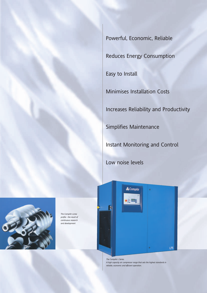Powerful, Economic, Reliable Reduces Energy Consumption Easy to Install Minimises Installation Costs Increases Reliability and Productivity Simplifies Maintenance Instant Monitoring and Control

Low noise levels

n

**A**CompAir



*The CompAir screw profile - the result of continuous research and development*

> *The CompAir L Series. A high capacity air compressor range that sets the highest standards in reliable, economic and efficient operation.*

 $L75$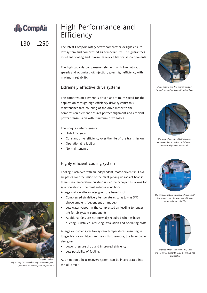

L30 - L250

## High Performance and Efficiency

The latest CompAir rotary screw compressor designs ensure low system and compressed air temperatures. This guarantees excellent cooling and maximum service life for all components.

The high capacity compression element, with low rotor-tip speeds and optimised oil injection, gives high efficiency with maximum reliability.

#### Extremely effective drive systems

The compression element is driven at optimum speed for the application through high efficiency drive systems; this maintenance free coupling of the drive motor to the compression element ensures perfect alignment and efficient power transmission with minimum drive losses.

The unique systems ensure:

- High Efficiency
- Constant drive efficiency over the life of the transmission
- Operational reliability
- No maintenance

#### Highly efficient cooling system

Cooling is achieved with an independent, motor-driven fan. Cold air passes over the inside of the plant picking up radiant heat so there is no temperature build-up under the canopy. This allows for safe operation in the most arduous conditions.

A large surface after-cooler gives the benefits of:

- Compressed air delivery temperatures to as low as 5°C above ambient (dependent on model)
- Less water vapour in the compressed air leading to longer life for air system components
- Additional fans are not normally required when exhaust ducting is installed, reducing installation and operating costs.

A large oil cooler gives low system temperatures, resulting in longer life for oil, filters and seals. Furthermore, the large cooler also gives:

- Lower pressure drop and improved efficiency
- Less possibility of fouling.

As an option a heat recovery system can be incorporated into the oil circuit.



*Plant cooling fan. The cool air passing through the unit picks up all radiant heat*



*The large aftercooler effectively cools compressed air to as low as 5°C above ambient (dependent on model)*



*The high capacity compression element, with low rotor-tip speeds, gives high efficiency with maximum reliability*



*Large reclaimers with generously-sized fine separator elements, large oil coolers and aftercoolers*



*CompAir employs only the very best manufacturing techniques - your guarantee for reliability and performance*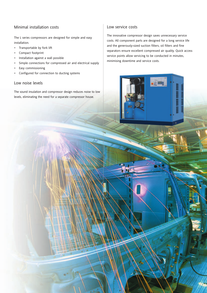#### Minimal installation costs

The L series compressors are designed for simple and easy installation.

- Transportable by fork lift
- Compact footprint
- Installation against a wall possible
- Simple connections for compressed air and electrical supply
- Easy commissioning
- Configured for connection to ducting systems

#### Low noise levels

The sound insulation and compressor design reduces noise to low levels, eliminating the need for a separate compressor house.

#### Low service costs

The innovative compressor design saves unnecessary service costs. All component parts are designed for a long service life and the generously-sized suction filters, oil filters and fine separators ensure excellent compressed air quality. Quick access service points allow servicing to be conducted in minutes, minimising downtime and service costs.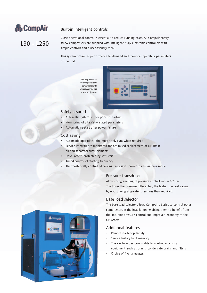

#### Built-in intelligent controls

L30 - L250

Close operational control is essential to reduce running costs. All CompAir rotary screw compressors are supplied with intelligent, fully electronic controllers with simple controls and a user-friendly menu.

This system optimises performance to demand and monitors operating parameters of the unit.

> *The fully electronic system offers superb performance with simple controls and user-friendly menu*



#### Safety assured

- Automatic systems check prior to start-up
- Monitoring of all safety-related parameters
- Automatic re-start after power failure.

#### Cost saving

- Automatic operation the motor only runs when required
- Service intervals are monitored for optimised replacement of air intake, oil and separator filter elements
- Drive system protected by soft start
- Timed control of starting frequency
- Thermostatically controlled cooling fan saves power in idle running mode.

#### Pressure transducer

Allows programming of pressure control within 0.2 bar. The lower the pressure differential, the higher the cost saving by not running at greater pressures than required.

#### Base load selector

The base load selector allows CompAir L Series to control other compressors in the installation, enabling them to benefit from the accurate pressure control and improved economy of the air system.

#### Additional features

- Remote start/stop facility
- Service history fault memory
- The electronic system is able to control accessory equipment, such as dryers, condensate drains and filters
- Choice of five languages.

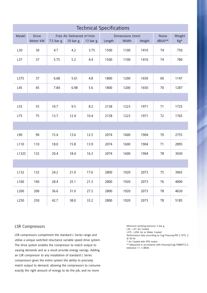| <b>Technical Specifications</b> |                          |                                                                              |      |          |                                              |      |                            |               |      |
|---------------------------------|--------------------------|------------------------------------------------------------------------------|------|----------|----------------------------------------------|------|----------------------------|---------------|------|
| Model                           | <b>Drive</b><br>Motor kW | Free Air Delivered m <sup>3</sup> /min<br>$7.5$ bar g<br>10 <sub>bar</sub> g |      | 13 bar g | Dimensions (mm)<br>Length<br>Width<br>Height |      | <b>Noise</b><br>$dB(A)$ ** | Weight<br>Kg* |      |
| L30                             | 30                       | 4.7                                                                          | 4.2  | 3.75     | 1500                                         | 1100 | 1410                       | 74            | 750  |
| L37                             | 37                       | 5.75                                                                         | 5.2  | 4.4      | 1500                                         | 1100 | 1410                       | 74            | 780  |
|                                 |                          |                                                                              |      |          |                                              |      |                            |               |      |
| <b>L37S</b>                     | 37                       | 6.68                                                                         | 5.61 | 4.8      | 1800                                         | 1200 | 1650                       | 69            | 1147 |
| L45                             | 45                       | 7.84                                                                         | 6.98 | 5.6      | 1800                                         | 1200 | 1650                       | 70            | 1287 |
|                                 |                          |                                                                              |      |          |                                              |      |                            |               |      |
| L55                             | 55                       | 10.7                                                                         | 9.5  | 8.2      | 2158                                         | 1223 | 1971                       | 71            | 1725 |
| L75                             | 75                       | 13.7                                                                         | 12.4 | 10.4     | 2158                                         | 1223 | 1971                       | 72            | 1765 |
|                                 |                          |                                                                              |      |          |                                              |      |                            |               |      |
| L90                             | 90                       | 15.4                                                                         | 13.6 | 12.5     | 2074                                         | 1600 | 1904                       | 70            | 2755 |
| L110                            | 110                      | 18.0                                                                         | 15.8 | 13.9     | 2074                                         | 1600 | 1904                       | 71            | 2895 |
| L132C                           | 132                      | 20.4                                                                         | 18.4 | 16.3     | 2074                                         | 1600 | 1904                       | 78            | 3030 |
|                                 |                          |                                                                              |      |          |                                              |      |                            |               |      |
| L132                            | 132                      | 24.2                                                                         | 21.0 | 17.6     | 2800                                         | 1920 | 2073                       | 75            | 3965 |
| L160                            | 160                      | 28.4                                                                         | 25.1 | 21.3     | 2800                                         | 1920 | 2073                       | 76            | 4000 |
| L200                            | 200                      | 36.6                                                                         | 31.0 | 27.2     | 2800                                         | 1920 | 2073                       | 78            | 4630 |
| L250                            | 250                      | 42.7                                                                         | 38.0 | 33.2     | 2800                                         | 1920 | 2073                       | 78            | 5185 |

#### LSR Compressors

LSR compressors compliment the standard L Series range and utilise a unique switched reluctance variable speed drive system. The drive system enables the compressor to match output to varying demands and as a result provide energy savings. Adding an LSR compressor to any installation of standard L Series compressors gives the entire system the ability to precisely match output to demand, allowing the compressors to consume exactly the right amount of energy to do the job, and no more

Minimum working pressure: 5 bar g. L30 - L37: Air Cooled L37S - L250: Air or Water Cooled Performance data according to Cagi Pneurop/PN 2 CPTC 2. @ 50 Hz

\* Air Cooled with IP55 motor

\*\* Measured in accordance with Pneurop/Cagi PN8NTC2.3, tolerance +/- 3 dB(A)